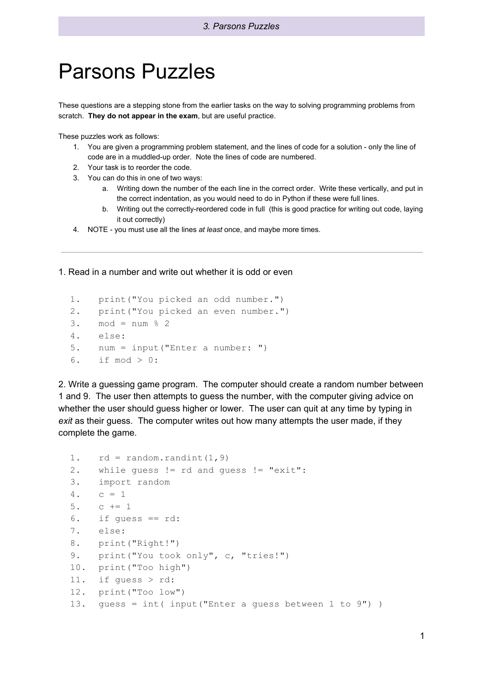## Parsons Puzzles

These questions are a stepping stone from the earlier tasks on the way to solving programming problems from scratch. **They do not appear in the exam**, but are useful practice.

These puzzles work as follows:

- 1. You are given a programming problem statement, and the lines of code for a solution only the line of code are in a muddled-up order. Note the lines of code are numbered.
- 2. Your task is to reorder the code.
- 3. You can do this in one of two ways:
	- a. Writing down the number of the each line in the correct order. Write these vertically, and put in the correct indentation, as you would need to do in Python if these were full lines.
	- b. Writing out the correctly-reordered code in full (this is good practice for writing out code, laying it out correctly)
- 4. NOTE you must use all the lines *at least* once, and maybe more times.

1. Read in a number and write out whether it is odd or even

```
1. print("You picked an odd number.")
2. print("You picked an even number.")
3. \text{ mod } = \text{ num } % 24. else:
5. num = input("Enter a number: ")
6. if mod > 0:
```
2. Write a guessing game program. The computer should create a random number between 1 and 9. The user then attempts to guess the number, with the computer giving advice on whether the user should guess higher or lower. The user can quit at any time by typing in *exit* as their guess. The computer writes out how many attempts the user made, if they complete the game.

```
1. rd = random.random(1, 9)2. while guess != rd and guess != "exit":
3. import random
4. c = 15. c + = 16. if guess == rd:
7. else:
8. print("Right!")
9. print("You took only", c, "tries!")
10. print("Too high")
11. if guess > rd:
12. print("Too low")
13. guess = int( input("Enter a guess between 1 to 9") )
```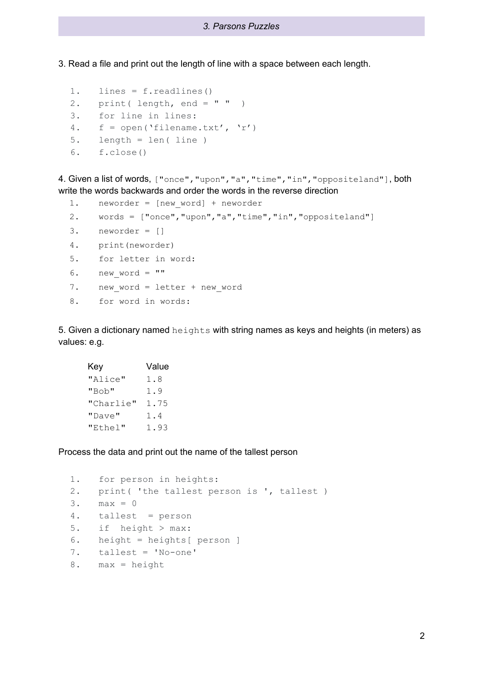3. Read a file and print out the length of line with a space between each length.

```
1. lines = f.readlines()
2. print (length, end = " "3. for line in lines:
4. f = open('filename.txt', 'r')
5. length = len( line )
6. f.close()
```
4. Given a list of words, ["once","upon","a","time","in","oppositeland"], both write the words backwards and order the words in the reverse direction

```
1. neworder = [new word] + neworder
2. words = ["once","upon","a","time","in","oppositeland"]
3. neworder = []
4. print(neworder)
5. for letter in word:
6. new word = ""7. new word = letter + new word
8. for word in words:
```
5. Given a dictionary named heights with string names as keys and heights (in meters) as values: e.g.

```
Key Value
"Alice" 1.8
"Bob" 1.9
"Charlie" 1.75
"Dave" 1.4
"Ethel" 1.93
```
Process the data and print out the name of the tallest person

```
1. for person in heights:
2. print( 'the tallest person is ', tallest )
3. max = 0
4. tallest = person
5. if height > max:
6. height = heights[ person ]
7. tallest = 'No-one'
8. max = height
```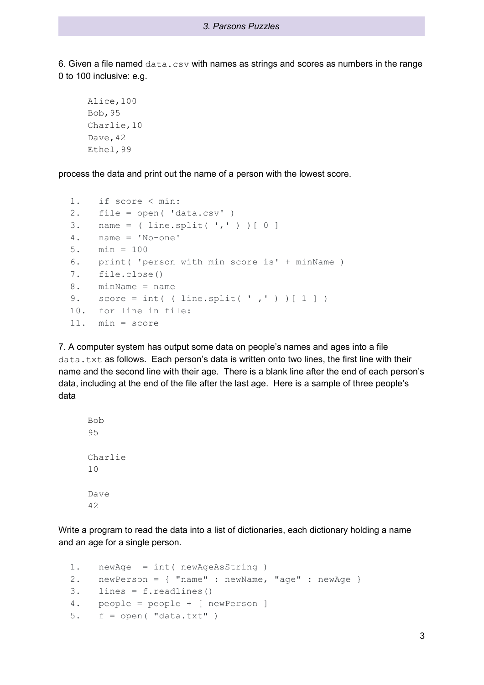## *3. Parsons Puzzles*

6. Given a file named  $data.csv$  with names as strings and scores as numbers in the range 0 to 100 inclusive: e.g.

```
Alice,100
Bob,95
Charlie,10
Dave, 42
Ethel,99
```
process the data and print out the name of a person with the lowest score.

```
1. if score < min:
2. file = open( 'data.csv' )
3. name = (line.split(','') ) [ 0 ]4. name = 'No-one'
5. min = 100
6. print( 'person with min score is' + minName )
7. file.close()
8. minName = name
9. score = int( ( line.split( ',' ) ) [ 1 ] )
10. for line in file:
11. min = score
```
7. A computer system has output some data on people's names and ages into a file data.txt as follows. Each person's data is written onto two lines, the first line with their name and the second line with their age. There is a blank line after the end of each person's data, including at the end of the file after the last age. Here is a sample of three people's data

```
Bob
95
Charlie
10
Dave
42
```
Write a program to read the data into a list of dictionaries, each dictionary holding a name and an age for a single person.

```
1. newAge = int( newAgeAsString )
2. newPerson = { "name" : newName, "age" : newAge }
3. lines = f.readlines()
4. people = people + [ newPerson ]
5. f = open( "data.txt" )
```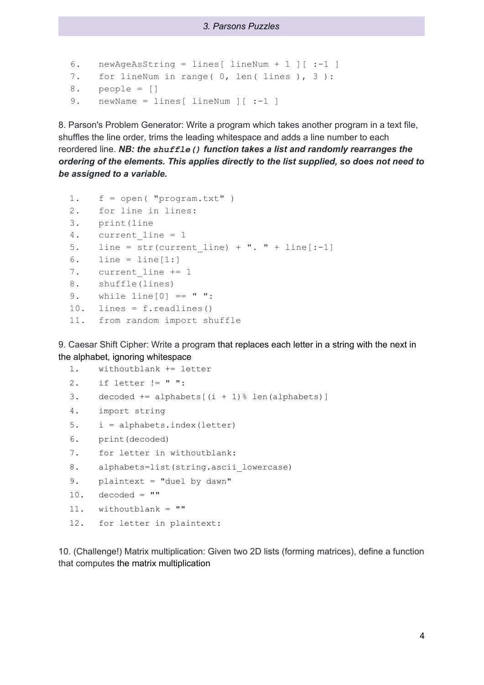```
6. newAgeAsString = lines[ lineNum + 1 ][ :-1 ]
7. for lineNum in range( 0, len( lines ), 3 ):
8. people = []
9. newName = lines[ lineNum ][ :-1 ]
```
8. Parson's Problem Generator: Write a program which takes another program in a text file, shuffles the line order, trims the leading whitespace and adds a line number to each reordered line. *NB: the shuffle() function takes a list and randomly rearranges the ordering of the elements. This applies directly to the list supplied, so does not need to be assigned to a variable.*

```
1. f = open( "program.txt" )
2. for line in lines:
3. print(line
4. current line = 1
5. line = str(current line) + ". " + line[-1]6. line = line[1:]7. current line += 1
8. shuffle(lines)
9. while line[0] == " ":
10. lines = f.readlines()
11. from random import shuffle
```
9. Caesar Shift Cipher: Write a program that replaces each letter in a string with the next in the alphabet, ignoring whitespace

```
1. withoutblank += letter
2. if letter != " ":
3. decoded += alphabets[(i + 1) [ len(alphabets)]
4. import string
5. i = alphabets.index(letter)
6. print(decoded)
7. for letter in withoutblank:
8. alphabets=list(string.ascii lowercase)
9. plaintext = "duel by dawn"
10. decoded = ""
11. withoutblank = ""
```

```
12. for letter in plaintext:
```
10. (Challenge!) Matrix multiplication: Given two 2D lists (forming matrices), define a function that computes the matrix multiplication